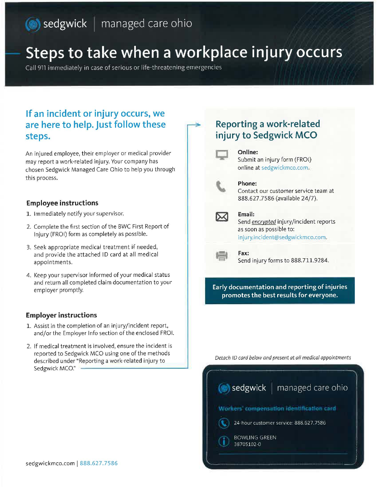# **sedgwick** | managed care ohio

# **Steps to take when a workplace injury occurs**

Call 911 immediately in case of serious or life-threatening emergencies

# **If an incident or injury occurs, we are here to help. Just follow these steps.**

An injured employee, their employer or medical provider may report a work-related injury. Your company has chosen Sedgwick Managed Care Ohio to help you through this process.

### **Employee instructions**

- 1. Immediately notify your supervisor.
- 2. Complete the first section of the BWC First Report of Injury (FROI) form as completely as possible.
- 3. Seek appropriate medical treatment if needed, and provide the attached ID card at all medical appointments.
- 4. Keep your supervisor informed of your medical status and return all completed claim documentation to your employer promptly.

## **Employer instructions**

- 1. Assist in the completion of an injury/incident report, and/or the Employer Info section of the enclosed FROI.
- 2. If medical treatment is involved, ensure the incident is reported to Sedgwick MCO using one of the methods described under "Reporting a work-related injury to Sedgwick MCO:'

# **Reporting a work-related injury to Sedgwick MCO**



#### **Online:**  Submit an injury form (FROI) online at sedgwickmco.com,



### **Phone:**

Contact our customer service team at 888.627.7586 (available 24/7).

#### **Email:**

Send *encrypted* injury/incident reports as soon as possible to: injury.incident@sedgwickmco.com.



**Fax:**  Send injury forms to 888.711.9284.

## **Early documentation and reporting of injuries promotes the best results for everyone.**